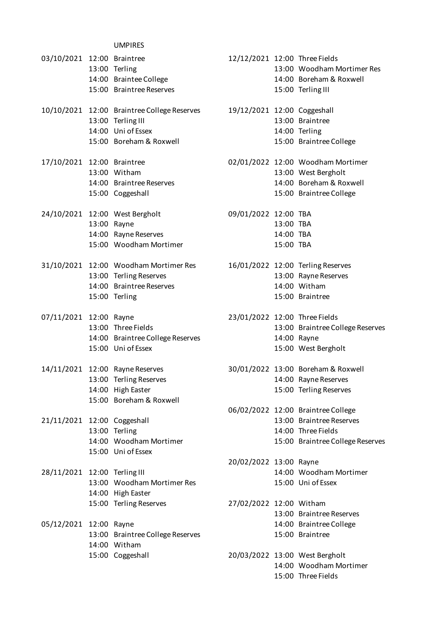|                              | <b>UMPIRES</b>                              |                               |           |                                    |
|------------------------------|---------------------------------------------|-------------------------------|-----------|------------------------------------|
| 03/10/2021 12:00 Braintree   |                                             | 12/12/2021 12:00 Three Fields |           |                                    |
|                              | 13:00 Terling                               |                               |           | 13:00 Woodham Mortimer Res         |
|                              | 14:00 Braintee College                      |                               |           | 14:00 Boreham & Roxwell            |
|                              | 15:00 Braintree Reserves                    |                               |           | 15:00 Terling III                  |
|                              |                                             | 19/12/2021 12:00 Coggeshall   |           |                                    |
|                              | 10/10/2021 12:00 Braintree College Reserves |                               |           | 13:00 Braintree                    |
|                              | 13:00 Terling III<br>14:00 Uni of Essex     |                               |           |                                    |
|                              | 15:00 Boreham & Roxwell                     |                               |           | 14:00 Terling                      |
|                              |                                             |                               |           | 15:00 Braintree College            |
| 17/10/2021 12:00 Braintree   |                                             |                               |           | 02/01/2022 12:00 Woodham Mortimer  |
|                              | 13:00 Witham                                |                               |           | 13:00 West Bergholt                |
|                              | 14:00 Braintree Reserves                    |                               |           | 14:00 Boreham & Roxwell            |
|                              | 15:00 Coggeshall                            |                               |           | 15:00 Braintree College            |
|                              | 24/10/2021 12:00 West Bergholt              | 09/01/2022 12:00 TBA          |           |                                    |
|                              | 13:00 Rayne                                 |                               | 13:00 TBA |                                    |
|                              | 14:00 Rayne Reserves                        |                               | 14:00 TBA |                                    |
|                              | 15:00 Woodham Mortimer                      |                               | 15:00 TBA |                                    |
|                              |                                             |                               |           |                                    |
|                              | 31/10/2021 12:00 Woodham Mortimer Res       |                               |           | 16/01/2022 12:00 Terling Reserves  |
|                              | 13:00 Terling Reserves                      |                               |           | 13:00 Rayne Reserves               |
|                              | 14:00 Braintree Reserves                    |                               |           | 14:00 Witham                       |
|                              | 15:00 Terling                               |                               |           | 15:00 Braintree                    |
| 07/11/2021 12:00 Rayne       |                                             | 23/01/2022 12:00 Three Fields |           |                                    |
|                              | 13:00 Three Fields                          |                               |           | 13:00 Braintree College Reserves   |
|                              | 14:00 Braintree College Reserves            |                               |           | 14:00 Rayne                        |
|                              | 15:00 Uni of Essex                          |                               |           | 15:00 West Bergholt                |
|                              |                                             |                               |           |                                    |
|                              | 14/11/2021 12:00 Rayne Reserves             |                               |           | 30/01/2022 13:00 Boreham & Roxwell |
|                              | 13:00 Terling Reserves                      |                               |           | 14:00 Rayne Reserves               |
|                              | 14:00 High Easter                           |                               |           | 15:00 Terling Reserves             |
|                              | 15:00 Boreham & Roxwell                     |                               |           | 06/02/2022 12:00 Braintree College |
| 21/11/2021 12:00 Coggeshall  |                                             |                               |           | 13:00 Braintree Reserves           |
|                              | 13:00 Terling                               |                               |           | 14:00 Three Fields                 |
|                              | 14:00 Woodham Mortimer                      |                               |           | 15:00 Braintree College Reserves   |
|                              | 15:00 Uni of Essex                          |                               |           |                                    |
|                              |                                             | 20/02/2022 13:00 Rayne        |           |                                    |
| 28/11/2021 12:00 Terling III |                                             |                               |           | 14:00 Woodham Mortimer             |
|                              | 13:00 Woodham Mortimer Res                  |                               |           | 15:00 Uni of Essex                 |
|                              | 14:00 High Easter                           |                               |           |                                    |
|                              | 15:00 Terling Reserves                      | 27/02/2022 12:00 Witham       |           |                                    |
|                              |                                             |                               |           | 13:00 Braintree Reserves           |
| 05/12/2021 12:00 Rayne       |                                             |                               |           | 14:00 Braintree College            |
|                              | 13:00 Braintree College Reserves            |                               |           | 15:00 Braintree                    |
|                              | 14:00 Witham                                |                               |           |                                    |
|                              | 15:00 Coggeshall                            |                               |           | 20/03/2022 13:00 West Bergholt     |
|                              |                                             |                               |           | 14:00 Woodham Mortimer             |
|                              |                                             |                               |           | 15:00 Three Fields                 |
|                              |                                             |                               |           |                                    |